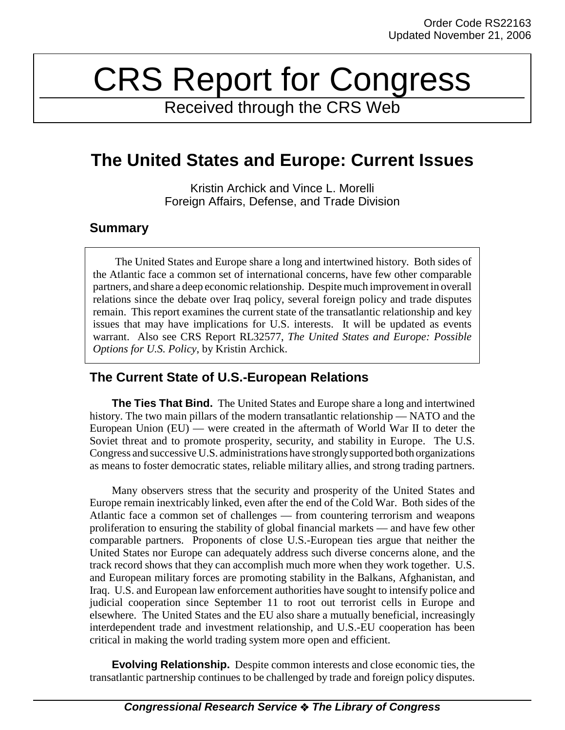# CRS Report for Congress

Received through the CRS Web

## **The United States and Europe: Current Issues**

Kristin Archick and Vince L. Morelli Foreign Affairs, Defense, and Trade Division

#### **Summary**

The United States and Europe share a long and intertwined history. Both sides of the Atlantic face a common set of international concerns, have few other comparable partners, and share a deep economic relationship. Despite much improvement in overall relations since the debate over Iraq policy, several foreign policy and trade disputes remain. This report examines the current state of the transatlantic relationship and key issues that may have implications for U.S. interests. It will be updated as events warrant. Also see CRS Report RL32577, *The United States and Europe: Possible Options for U.S. Policy*, by Kristin Archick.

### **The Current State of U.S.-European Relations**

**The Ties That Bind.** The United States and Europe share a long and intertwined history. The two main pillars of the modern transatlantic relationship — NATO and the European Union  $(EU)$  — were created in the aftermath of World War II to deter the Soviet threat and to promote prosperity, security, and stability in Europe. The U.S. Congress and successive U.S. administrations have strongly supported both organizations as means to foster democratic states, reliable military allies, and strong trading partners.

Many observers stress that the security and prosperity of the United States and Europe remain inextricably linked, even after the end of the Cold War. Both sides of the Atlantic face a common set of challenges — from countering terrorism and weapons proliferation to ensuring the stability of global financial markets — and have few other comparable partners. Proponents of close U.S.-European ties argue that neither the United States nor Europe can adequately address such diverse concerns alone, and the track record shows that they can accomplish much more when they work together. U.S. and European military forces are promoting stability in the Balkans, Afghanistan, and Iraq. U.S. and European law enforcement authorities have sought to intensify police and judicial cooperation since September 11 to root out terrorist cells in Europe and elsewhere. The United States and the EU also share a mutually beneficial, increasingly interdependent trade and investment relationship, and U.S.-EU cooperation has been critical in making the world trading system more open and efficient.

**Evolving Relationship.** Despite common interests and close economic ties, the transatlantic partnership continues to be challenged by trade and foreign policy disputes.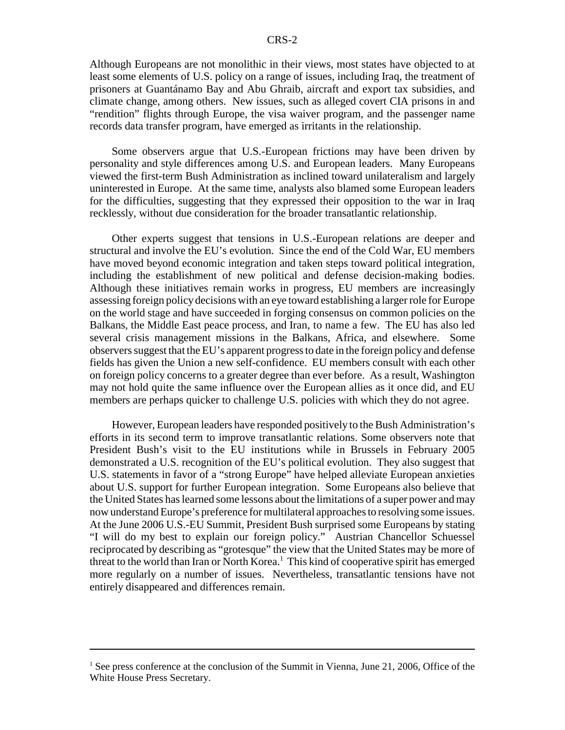Although Europeans are not monolithic in their views, most states have objected to at least some elements of U.S. policy on a range of issues, including Iraq, the treatment of prisoners at Guantánamo Bay and Abu Ghraib, aircraft and export tax subsidies, and climate change, among others. New issues, such as alleged covert CIA prisons in and "rendition" flights through Europe, the visa waiver program, and the passenger name records data transfer program, have emerged as irritants in the relationship.

Some observers argue that U.S.-European frictions may have been driven by personality and style differences among U.S. and European leaders. Many Europeans viewed the first-term Bush Administration as inclined toward unilateralism and largely uninterested in Europe. At the same time, analysts also blamed some European leaders for the difficulties, suggesting that they expressed their opposition to the war in Iraq recklessly, without due consideration for the broader transatlantic relationship.

Other experts suggest that tensions in U.S.-European relations are deeper and structural and involve the EU's evolution. Since the end of the Cold War, EU members have moved beyond economic integration and taken steps toward political integration, including the establishment of new political and defense decision-making bodies. Although these initiatives remain works in progress, EU members are increasingly assessing foreign policy decisions with an eye toward establishing a larger role for Europe on the world stage and have succeeded in forging consensus on common policies on the Balkans, the Middle East peace process, and Iran, to name a few. The EU has also led several crisis management missions in the Balkans, Africa, and elsewhere. Some observers suggest that the EU's apparent progress to date in the foreign policy and defense fields has given the Union a new self-confidence. EU members consult with each other on foreign policy concerns to a greater degree than ever before. As a result, Washington may not hold quite the same influence over the European allies as it once did, and EU members are perhaps quicker to challenge U.S. policies with which they do not agree.

However, European leaders have responded positively to the Bush Administration's efforts in its second term to improve transatlantic relations. Some observers note that President Bush's visit to the EU institutions while in Brussels in February 2005 demonstrated a U.S. recognition of the EU's political evolution. They also suggest that U.S. statements in favor of a "strong Europe" have helped alleviate European anxieties about U.S. support for further European integration. Some Europeans also believe that the United States has learned some lessons about the limitations of a super power and may now understand Europe's preference for multilateral approaches to resolving some issues. At the June 2006 U.S.-EU Summit, President Bush surprised some Europeans by stating "I will do my best to explain our foreign policy." Austrian Chancellor Schuessel reciprocated by describing as "grotesque" the view that the United States may be more of threat to the world than Iran or North Korea.<sup>1</sup> This kind of cooperative spirit has emerged more regularly on a number of issues. Nevertheless, transatlantic tensions have not entirely disappeared and differences remain.

 $<sup>1</sup>$  See press conference at the conclusion of the Summit in Vienna, June 21, 2006, Office of the</sup> White House Press Secretary.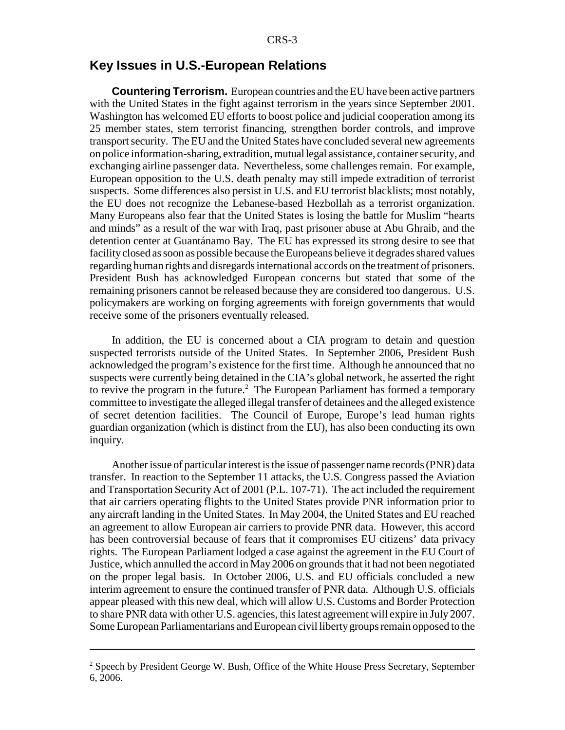#### **Key Issues in U.S.-European Relations**

**Countering Terrorism.** European countries and the EU have been active partners with the United States in the fight against terrorism in the years since September 2001. Washington has welcomed EU efforts to boost police and judicial cooperation among its 25 member states, stem terrorist financing, strengthen border controls, and improve transport security. The EU and the United States have concluded several new agreements on police information-sharing, extradition, mutual legal assistance, container security, and exchanging airline passenger data. Nevertheless, some challenges remain. For example, European opposition to the U.S. death penalty may still impede extradition of terrorist suspects. Some differences also persist in U.S. and EU terrorist blacklists; most notably, the EU does not recognize the Lebanese-based Hezbollah as a terrorist organization. Many Europeans also fear that the United States is losing the battle for Muslim "hearts and minds" as a result of the war with Iraq, past prisoner abuse at Abu Ghraib, and the detention center at Guantánamo Bay. The EU has expressed its strong desire to see that facility closed as soon as possible because the Europeans believe it degrades shared values regarding human rights and disregards international accords on the treatment of prisoners. President Bush has acknowledged European concerns but stated that some of the remaining prisoners cannot be released because they are considered too dangerous. U.S. policymakers are working on forging agreements with foreign governments that would receive some of the prisoners eventually released.

In addition, the EU is concerned about a CIA program to detain and question suspected terrorists outside of the United States. In September 2006, President Bush acknowledged the program's existence for the first time. Although he announced that no suspects were currently being detained in the CIA's global network, he asserted the right to revive the program in the future.<sup>2</sup> The European Parliament has formed a temporary committee to investigate the alleged illegal transfer of detainees and the alleged existence of secret detention facilities. The Council of Europe, Europe's lead human rights guardian organization (which is distinct from the EU), has also been conducting its own inquiry.

Another issue of particular interest is the issue of passenger name records (PNR) data transfer. In reaction to the September 11 attacks, the U.S. Congress passed the Aviation and Transportation Security Act of 2001 (P.L. 107-71). The act included the requirement that air carriers operating flights to the United States provide PNR information prior to any aircraft landing in the United States. In May 2004, the United States and EU reached an agreement to allow European air carriers to provide PNR data. However, this accord has been controversial because of fears that it compromises EU citizens' data privacy rights. The European Parliament lodged a case against the agreement in the EU Court of Justice, which annulled the accord in May 2006 on grounds that it had not been negotiated on the proper legal basis. In October 2006, U.S. and EU officials concluded a new interim agreement to ensure the continued transfer of PNR data. Although U.S. officials appear pleased with this new deal, which will allow U.S. Customs and Border Protection to share PNR data with other U.S. agencies, this latest agreement will expire in July 2007. Some European Parliamentarians and European civil liberty groups remain opposed to the

<sup>&</sup>lt;sup>2</sup> Speech by President George W. Bush, Office of the White House Press Secretary, September 6, 2006.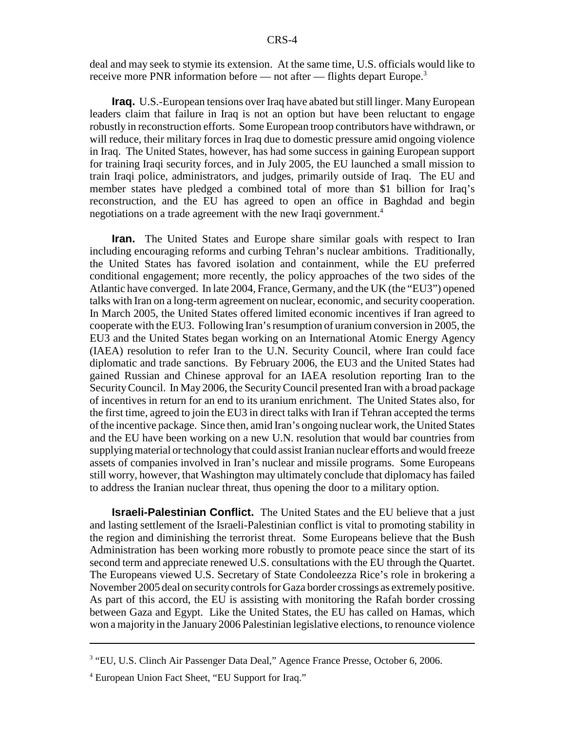deal and may seek to stymie its extension. At the same time, U.S. officials would like to receive more PNR information before — not after — flights depart Europe.<sup>3</sup>

**Iraq.** U.S.-European tensions over Iraq have abated but still linger. Many European leaders claim that failure in Iraq is not an option but have been reluctant to engage robustly in reconstruction efforts. Some European troop contributors have withdrawn, or will reduce, their military forces in Iraq due to domestic pressure amid ongoing violence in Iraq. The United States, however, has had some success in gaining European support for training Iraqi security forces, and in July 2005, the EU launched a small mission to train Iraqi police, administrators, and judges, primarily outside of Iraq. The EU and member states have pledged a combined total of more than \$1 billion for Iraq's reconstruction, and the EU has agreed to open an office in Baghdad and begin negotiations on a trade agreement with the new Iraqi government.<sup>4</sup>

**Iran.** The United States and Europe share similar goals with respect to Iran including encouraging reforms and curbing Tehran's nuclear ambitions. Traditionally, the United States has favored isolation and containment, while the EU preferred conditional engagement; more recently, the policy approaches of the two sides of the Atlantic have converged. In late 2004, France, Germany, and the UK (the "EU3") opened talks with Iran on a long-term agreement on nuclear, economic, and security cooperation. In March 2005, the United States offered limited economic incentives if Iran agreed to cooperate with the EU3. Following Iran's resumption of uranium conversion in 2005, the EU3 and the United States began working on an International Atomic Energy Agency (IAEA) resolution to refer Iran to the U.N. Security Council, where Iran could face diplomatic and trade sanctions. By February 2006, the EU3 and the United States had gained Russian and Chinese approval for an IAEA resolution reporting Iran to the Security Council. In May 2006, the Security Council presented Iran with a broad package of incentives in return for an end to its uranium enrichment. The United States also, for the first time, agreed to join the EU3 in direct talks with Iran if Tehran accepted the terms of the incentive package. Since then, amid Iran's ongoing nuclear work, the United States and the EU have been working on a new U.N. resolution that would bar countries from supplying material or technology that could assist Iranian nuclear efforts and would freeze assets of companies involved in Iran's nuclear and missile programs. Some Europeans still worry, however, that Washington may ultimately conclude that diplomacy has failed to address the Iranian nuclear threat, thus opening the door to a military option.

**Israeli-Palestinian Conflict.** The United States and the EU believe that a just and lasting settlement of the Israeli-Palestinian conflict is vital to promoting stability in the region and diminishing the terrorist threat. Some Europeans believe that the Bush Administration has been working more robustly to promote peace since the start of its second term and appreciate renewed U.S. consultations with the EU through the Quartet. The Europeans viewed U.S. Secretary of State Condoleezza Rice's role in brokering a November 2005 deal on security controls for Gaza border crossings as extremely positive. As part of this accord, the EU is assisting with monitoring the Rafah border crossing between Gaza and Egypt. Like the United States, the EU has called on Hamas, which won a majority in the January 2006 Palestinian legislative elections, to renounce violence

<sup>&</sup>lt;sup>3</sup> "EU, U.S. Clinch Air Passenger Data Deal," Agence France Presse, October 6, 2006.

<sup>4</sup> European Union Fact Sheet, "EU Support for Iraq."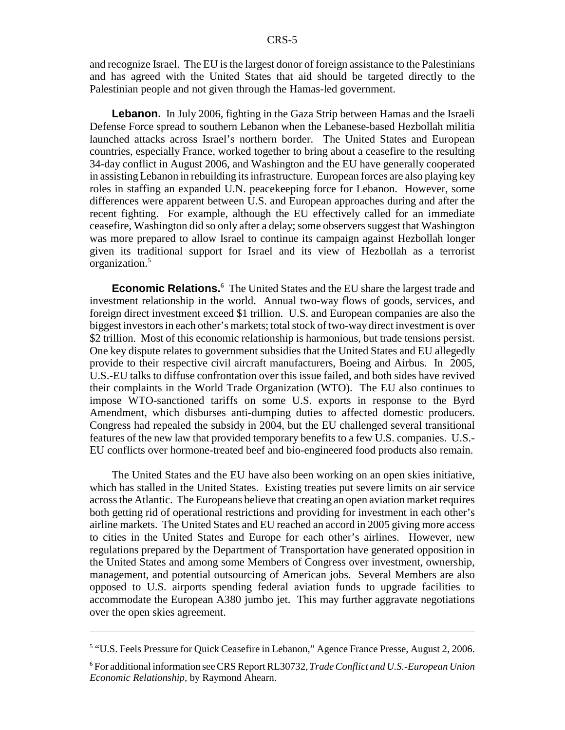and recognize Israel. The EU is the largest donor of foreign assistance to the Palestinians and has agreed with the United States that aid should be targeted directly to the Palestinian people and not given through the Hamas-led government.

**Lebanon.** In July 2006, fighting in the Gaza Strip between Hamas and the Israeli Defense Force spread to southern Lebanon when the Lebanese-based Hezbollah militia launched attacks across Israel's northern border. The United States and European countries, especially France, worked together to bring about a ceasefire to the resulting 34-day conflict in August 2006, and Washington and the EU have generally cooperated in assisting Lebanon in rebuilding its infrastructure. European forces are also playing key roles in staffing an expanded U.N. peacekeeping force for Lebanon. However, some differences were apparent between U.S. and European approaches during and after the recent fighting. For example, although the EU effectively called for an immediate ceasefire, Washington did so only after a delay; some observers suggest that Washington was more prepared to allow Israel to continue its campaign against Hezbollah longer given its traditional support for Israel and its view of Hezbollah as a terrorist organization.5

**Economic Relations.**<sup>6</sup> The United States and the EU share the largest trade and investment relationship in the world. Annual two-way flows of goods, services, and foreign direct investment exceed \$1 trillion. U.S. and European companies are also the biggest investors in each other's markets; total stock of two-way direct investment is over \$2 trillion. Most of this economic relationship is harmonious, but trade tensions persist. One key dispute relates to government subsidies that the United States and EU allegedly provide to their respective civil aircraft manufacturers, Boeing and Airbus. In 2005, U.S.-EU talks to diffuse confrontation over this issue failed, and both sides have revived their complaints in the World Trade Organization (WTO). The EU also continues to impose WTO-sanctioned tariffs on some U.S. exports in response to the Byrd Amendment, which disburses anti-dumping duties to affected domestic producers. Congress had repealed the subsidy in 2004, but the EU challenged several transitional features of the new law that provided temporary benefits to a few U.S. companies. U.S.- EU conflicts over hormone-treated beef and bio-engineered food products also remain.

The United States and the EU have also been working on an open skies initiative, which has stalled in the United States. Existing treaties put severe limits on air service across the Atlantic. The Europeans believe that creating an open aviation market requires both getting rid of operational restrictions and providing for investment in each other's airline markets. The United States and EU reached an accord in 2005 giving more access to cities in the United States and Europe for each other's airlines. However, new regulations prepared by the Department of Transportation have generated opposition in the United States and among some Members of Congress over investment, ownership, management, and potential outsourcing of American jobs. Several Members are also opposed to U.S. airports spending federal aviation funds to upgrade facilities to accommodate the European A380 jumbo jet. This may further aggravate negotiations over the open skies agreement.

<sup>&</sup>lt;sup>5</sup> "U.S. Feels Pressure for Quick Ceasefire in Lebanon," Agence France Presse, August 2, 2006.

<sup>6</sup> For additional information see CRS Report RL30732, *Trade Conflict and U.S.-European Union Economic Relationship,* by Raymond Ahearn.